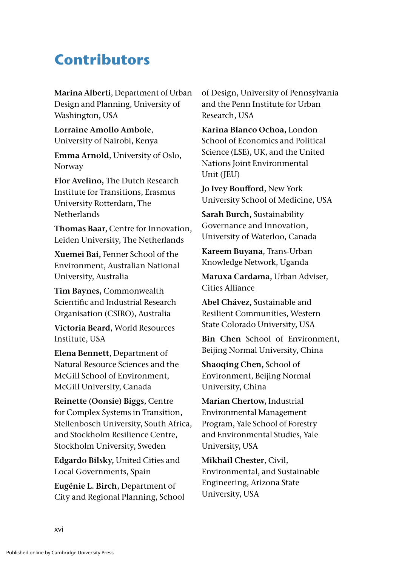## **Contributors**

**Marina Alberti**, Department of Urban Design and Planning, University of Washington, USA

**Lorraine Amollo Ambole**, University of Nairobi, Kenya

**Emma Arnold**, University of Oslo, Norway

**Flor Avelino,** The Dutch Research Institute for Transitions, Erasmus University Rotterdam, The Netherlands

**Thomas Baar,** Centre for Innovation, Leiden University, The Netherlands

**Xuemei Bai,** Fenner School of the Environment, Australian National University, Australia

**Tim Baynes,** Commonwealth Scientific and Industrial Research Organisation (CSIRO), Australia

**Victoria Beard**, World Resources Institute, USA

**Elena Bennett,** Department of Natural Resource Sciences and the McGill School of Environment, McGill University, Canada

**Reinette (Oonsie) Biggs,** Centre for Complex Systems in Transition, Stellenbosch University, South Africa, and Stockholm Resilience Centre, Stockholm University, Sweden

**Edgardo Bilsky,** United Cities and Local Governments, Spain

**Eugénie L. Birch,** Department of City and Regional Planning, School of Design, University of Pennsylvania and the Penn Institute for Urban Research, USA

**Karina Blanco Ochoa,** London School of Economics and Political Science (LSE), UK, and the United Nations Joint Environmental Unit (JEU)

**Jo Ivey Boufford,** New York University School of Medicine, USA

**Sarah Burch,** Sustainability Governance and Innovation, University of Waterloo, Canada

**Kareem Buyana**, Trans-Urban Knowledge Network, Uganda

**Maruxa Cardama,** Urban Adviser, Cities Alliance

**Abel Chávez,** Sustainable and Resilient Communities, Western State Colorado University, USA

**Bin Chen** School of Environment, Beijing Normal University, China

**Shaoqing Chen,** School of Environment, Beijing Normal University, China

**Marian Chertow,** Industrial Environmental Management Program, Yale School of Forestry and Environmental Studies, Yale University, USA

**Mikhail Chester**, Civil, Environmental, and Sustainable Engineering, Arizona State University, USA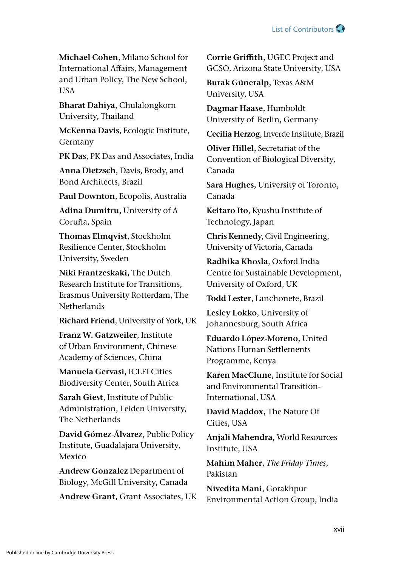

**Michael Cohen**, Milano School for International Affairs, Management and Urban Policy, The New School, **USA** 

**Bharat Dahiya,** Chulalongkorn University, Thailand

**McKenna Davis**, Ecologic Institute, Germany

**PK Das**, PK Das and Associates, India

**Anna Dietzsch**, Davis, Brody, and Bond Architects, Brazil

**Paul Downton,** Ecopolis, Australia

**Adina Dumitru,** University of A Coruña, Spain

**Thomas Elmqvist**, Stockholm Resilience Center, Stockholm University, Sweden

**Niki Frantzeskaki,** The Dutch Research Institute for Transitions, Erasmus University Rotterdam, The **Netherlands** 

**Richard Friend**, University of York, UK

**Franz W. Gatzweiler**, Institute of Urban Environment, Chinese Academy of Sciences, China

**Manuela Gervasi,** ICLEI Cities Biodiversity Center, South Africa

**Sarah Giest**, Institute of Public Administration, Leiden University, The Netherlands

**David Gómez-Álvarez,** Public Policy Institute, Guadalajara University, Mexico

**Andrew Gonzalez** Department of Biology, McGill University, Canada

**Andrew Grant,** Grant Associates, UK

**Corrie Griffith,** UGEC Project and GCSO, Arizona State University, USA

**Burak Güneralp,** Texas A&M University, USA

**Dagmar Haase,** Humboldt University of Berlin, Germany

**Cecilia Herzog**, Inverde Institute, Brazil

**Oliver Hillel,** Secretariat of the Convention of Biological Diversity, Canada

**Sara Hughes,** University of Toronto, Canada

**Keitaro Ito**, Kyushu Institute of Technology, Japan

**Chris Kennedy,** Civil Engineering, University of Victoria, Canada

**Radhika Khosla**, Oxford India Centre for Sustainable Development, University of Oxford, UK

**Todd Lester**, Lanchonete, Brazil

**Lesley Lokko**, University of Johannesburg, South Africa

**Eduardo López-Moreno,** United Nations Human Settlements Programme, Kenya

**Karen MacClune,** Institute for Social and Environmental Transition-International, USA

**David Maddox,** The Nature Of Cities, USA

**Anjali Mahendra**, World Resources Institute, USA

**Mahim Maher**, *The Friday Times*, Pakistan

**Nivedita Mani**, Gorakhpur Environmental Action Group, India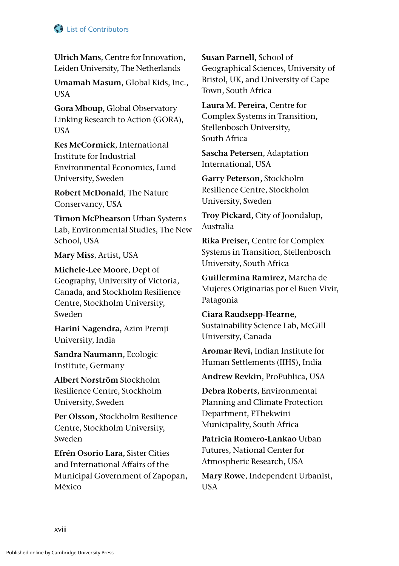## **C** List of Contributors

**Ulrich Mans**, Centre for Innovation, Leiden University, The Netherlands

**Umamah Masum**, Global Kids, Inc., USA

**Gora Mboup**, Global Observatory Linking Research to Action (GORA), USA

**Kes McCormick**, International Institute for Industrial Environmental Economics, Lund University, Sweden

**Robert McDonald**, The Nature Conservancy, USA

**Timon McPhearson** Urban Systems Lab, Environmental Studies, The New School, USA

**Mary Miss**, Artist, USA

**Michele-Lee Moore**, Dept of Geography, University of Victoria, Canada, and Stockholm Resilience Centre, Stockholm University, Sweden

**Harini Nagendra,** Azim Premji University, India

**Sandra Naumann**, Ecologic Institute, Germany

**Albert Norström** Stockholm Resilience Centre, Stockholm University, Sweden

**Per Olsson,** Stockholm Resilience Centre, Stockholm University, Sweden

**Efrén Osorio Lara,** Sister Cities and International Affairs of the Municipal Government of Zapopan, México

**Susan Parnell,** School of Geographical Sciences, University of Bristol, UK, and University of Cape Town, South Africa

**Laura M. Pereira,** Centre for Complex Systems in Transition, Stellenbosch University, South Africa

**Sascha Petersen**, Adaptation International, USA

**Garry Peterson,** Stockholm Resilience Centre, Stockholm University, Sweden

**Troy Pickard,** City of Joondalup, Australia

**Rika Preiser,** Centre for Complex Systems in Transition, Stellenbosch University, South Africa

**Guillermina Ramirez,** Marcha de Mujeres Originarias por el Buen Vivir, Patagonia

**Ciara Raudsepp-Hearne,** Sustainability Science Lab, McGill University, Canada

**Aromar Revi,** Indian Institute for Human Settlements (IIHS), India

**Andrew Revkin**, ProPublica, USA

**Debra Roberts,** Environmental Planning and Climate Protection Department, EThekwini Municipality, South Africa

**Patricia Romero-Lankao** Urban Futures, National Center for Atmospheric Research, USA

**Mary Rowe**, Independent Urbanist, USA